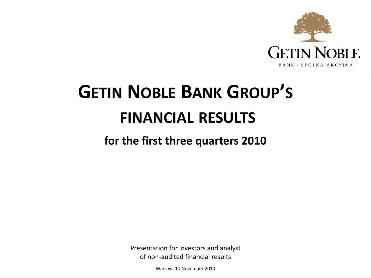

# **GETIN NOBLE BANK GROUP'S FINANCIAL RESULTS**

**for the first three quarters 2010**

Presentation for investors and analyst of non-audited financial results

Warsaw, 10 November 2010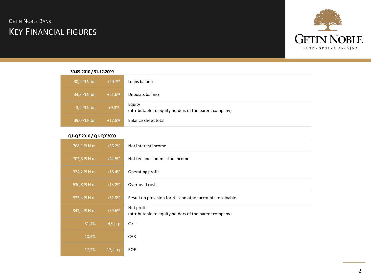# KEY FINANCIAL FIGURES **GETIN NOBLE BANK**



| 30.09.2010 / 31.12.2009 |          |                                                                  |
|-------------------------|----------|------------------------------------------------------------------|
| 30,9 PLN bn             | $+20,7%$ | Loans balance                                                    |
| $34,3$ PLN bn           | $+21,6%$ | Deposits balance                                                 |
| 3,2 PLN bn              | $+9,3%$  | Equity<br>(attributable to equity holders of the parent company) |
| 39,0 PLN bn             | $+17,8%$ | Balance sheet total                                              |
|                         |          |                                                                  |

#### **Q1-Q3'2010 / Q1-Q3'2009**

| 768,1 PLN m | $+36,2%$     | Net interest income                                                  |
|-------------|--------------|----------------------------------------------------------------------|
| 707,5 PLN m | $+44,5%$     | Net fee and commission income                                        |
| 324,2 PLN m | $+18,4%$     | Operating profit                                                     |
| 530,8 PLN m | $+13,2%$     | Overhead costs                                                       |
| 835,4 PLN m | $+51,9%$     | Result on provision for NIL and other accounts receivable            |
| 342,4 PLN m | $+39,6%$     | Net profit<br>(attributable to equity holders of the parent company) |
| 31,4%       | $-4,9$ p.p.  | C/I                                                                  |
| 10,3%       |              | <b>CAR</b>                                                           |
| 17,2%       | $+17,2 p.p.$ | ROE                                                                  |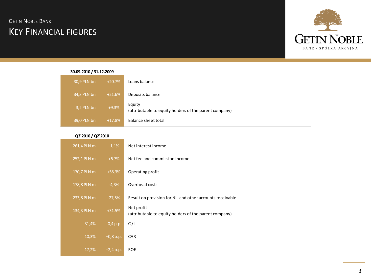# **KEY FINANCIAL FIGURES GETIN NOBLE BANK**



| 30.09.2010 / 31.12.2009 |             |                                                                      |
|-------------------------|-------------|----------------------------------------------------------------------|
| 30,9 PLN bn             | $+20,7%$    | Loans balance                                                        |
| 34,3 PLN bn             | $+21,6%$    | Deposits balance                                                     |
| 3,2 PLN bn              | $+9,3%$     | Equity<br>(attributable to equity holders of the parent company)     |
| 39,0 PLN bn             | $+17,8%$    | <b>Balance sheet total</b>                                           |
| Q3'2010 / Q2'2010       |             |                                                                      |
| 261,4 PLN m             | $-1,1%$     | Net interest income                                                  |
| 252,1 PLN m             | $+6,7%$     | Net fee and commission income                                        |
| 170,7 PLN m             | $+58,3%$    | Operating profit                                                     |
| 178,8 PLN m             | $-4,3%$     | Overhead costs                                                       |
| 233,8 PLN m             | $-27,5%$    | Result on provision for NIL and other accounts receivable            |
| 134,3 PLN m             | $+31,5%$    | Net profit<br>(attributable to equity holders of the parent company) |
| 31,4%                   | $-0,4 p.p.$ | C/I                                                                  |
| 10,3%                   | $+0,8$ p.p. | CAR                                                                  |
| 17,2%                   | $+2,4 p.p.$ | <b>ROE</b>                                                           |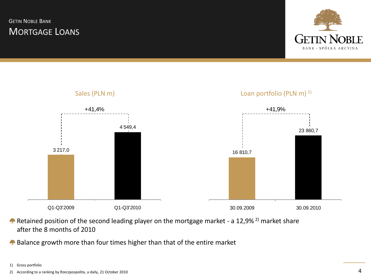

MORTGAGE LOANS **GETIN NOBLE BANK** 



- **A** Retained position of the second leading player on the mortgage market a 12,9% <sup>2)</sup> market share after the 8 months of 2010
- **Balance growth more than four times higher than that of the entire market**

<sup>1)</sup> Gross portfolio

<sup>2)</sup> According to a ranking by Rzeczpospolita, a daily, 21 October 2010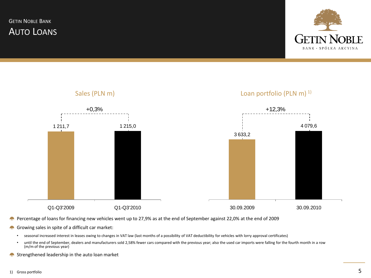

AUTO LOANS **GETIN NOBLE BANK** 



Percentage of loans for financing new vehicles went up to 27,9% as at the end of September against 22,0% at the end of 2009 **September** 

Growing sales in spite of a difficult car market:

- seasonal increased interest in leases owing to changes in VAT law (last months of a possibility of VAT deductibility for vehicles with lorry approval certificates)
- until the end of September, dealers and manufacturers sold 2,58% fewer cars compared with the previous year; also the used car imports were falling for the fourth month in a row (m/m of the previous year)
- Strengthened leadership in the auto loan market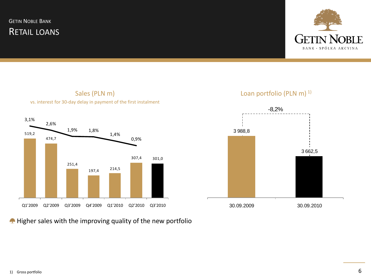RETAIL LOANS **GETIN NOBLE BANK** 





Higher sales with the improving quality of the new portfolio



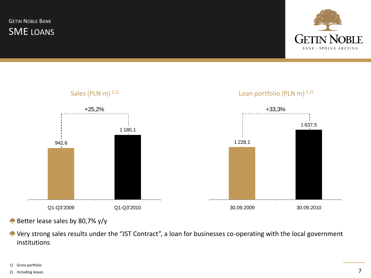SME LOANS **GETIN NOBLE BANK** 





Better lease sales by 80,7% y/y

Very strong sales results under the "JST Contract", a loan for businesses co-operating with the local government institutions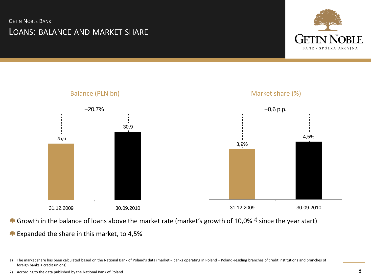### LOANS: BALANCE AND MARKET SHARE **GETIN NOBLE BANK**





Growth in the balance of loans above the market rate (market's growth of 10,0% <sup>2)</sup> since the year start)

#### Expanded the share in this market, to 4,5%

<sup>1)</sup> The market share has been calculated based on the National Bank of Poland's data (market = banks operating in Poland + Poland-residing branches of credit institutions and branches of foreign banks + credit unions)

<sup>2)</sup> According to the data published by the National Bank of Poland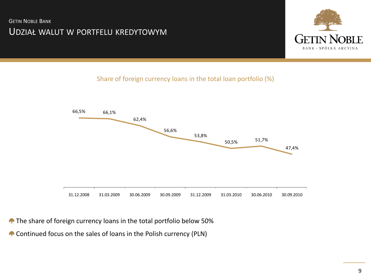# UDZIAŁ WALUT W PORTFELU KREDYTOWYM **GETIN NOBLE BANK**



Share of foreign currency loans in the total loan portfolio (%)



The share of foreign currency loans in the total portfolio below 50%

Continued focus on the sales of loans in the Polish currency (PLN)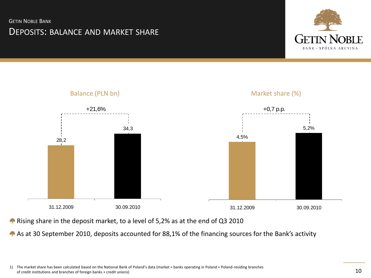### DEPOSITS: BALANCE AND MARKET SHARE **GETIN NOBLE BANK**





Rising share in the deposit market, to a level of 5,2% as at the end of Q3 2010

As at 30 September 2010, deposits accounted for 88,1% of the financing sources for the Bank's activity

<sup>1)</sup> The market share has been calculated based on the National Bank of Poland's data (market = banks operating in Poland + Poland-residing branches of credit institutions and branches of foreign banks + credit unions)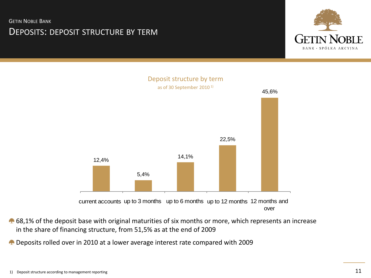**GETIN NOBLE BANK** 

# DEPOSITS: DEPOSIT STRUCTURE BY TERM





- $\triangle$  **68,1% of the deposit base with original maturities of six months or more, which represents an increase** in the share of financing structure, from 51,5% as at the end of 2009
- Deposits rolled over in 2010 at a lower average interest rate compared with 2009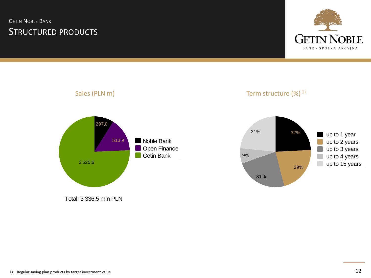# STRUCTURED PRODUCTS **GETIN NOBLE BANK**





1) Regular saving plan products by target investment value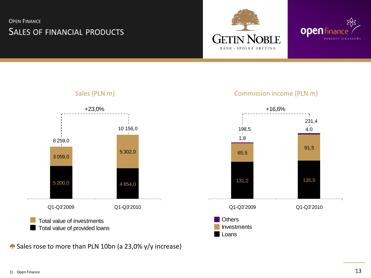# SALES OF FINANCIAL PRODUCTS **OPEN FINANCE**





# 5 200,0 4 854,0 5 302,0 3 059,0 10 156,0 8 259,0 Q1-Q3'2009 Q1-Q3'2010 +23,0%

Total value of investments Total value of provided loans H

Sales rose to more than PLN 10bn (a 23,0% y/y increase)

#### Sales (PLN m) Commission income (PLN m)

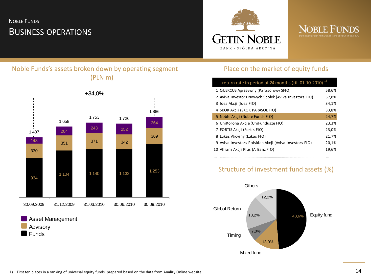# BUSINESS OPERATIONS NOBLE FUNDS





#### Noble Funds's assets broken down by operating segment (PLN m)



Advisory **Funds** 

#### Place on the market of equity funds

| return rate in period of 24 months (till 01-10-2010) <sup>1)</sup> |       |
|--------------------------------------------------------------------|-------|
| 1 QUERCUS Agresywny (Parasolowy SFIO)                              | 58,6% |
| 2 Aviva Investors Nowych Spółek (Aviva Investors FIO)              | 57,8% |
| 3 Idea Akcji (Idea FIO)                                            | 34.1% |
| 4 SKOK Akcji (SKOK PARASOL FIO)                                    | 33,8% |
| 5 Noble Akcji (Noble Funds FIO)                                    | 24,7% |
| 6 Uni Korona Akcje (Uni Fundusze FIO)                              | 23,3% |
| 7 FORTIS Akcji (Fortis FIO)                                        | 23,0% |
| 8 Lukas Akcyjny (Lukas FIO)                                        | 21,7% |
| 9 Aviva Investors Polskich Akcji (Aviva Investors FIO)             | 20,1% |
| 10 Allianz Akcji Plus (Allianz FIO)                                | 19,6% |
|                                                                    |       |

#### Structure of investment fund assets (%)

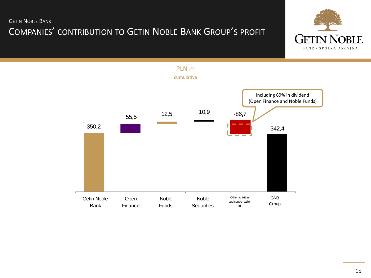# COMPANIES' CONTRIBUTION TO GETIN NOBLE BANK GROUP'S PROFIT



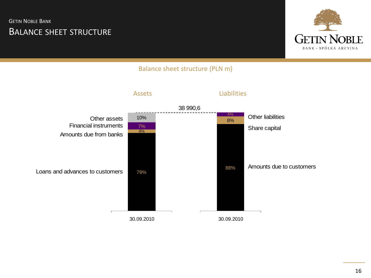# BALANCE SHEET STRUCTURE **GETIN NOBLE BANK**



#### Balance sheet structure (PLN m)

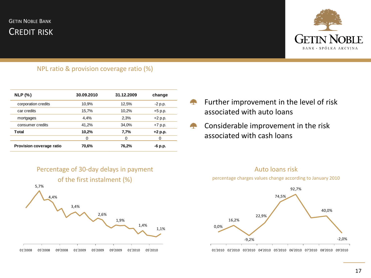# CREDIT RISK **GETIN NOBLE BANK**



#### NPL ratio & provision coverage ratio (%)

| NLP(% )                  | 30.09.2010 | 31.12.2009 | change    |  |
|--------------------------|------------|------------|-----------|--|
| corporation credits      | 10,9%      | 12,5%      | $-2$ p.p. |  |
| car credits              | 15,7%      | 10.2%      | $+5$ p.p. |  |
| mortgages                | 4,4%       | 2,3%       | $+2 p.p.$ |  |
| consumer credits         | 41,2%      | 34,0%      | $+7$ p.p. |  |
| Total                    | 10,2%      | 7,7%       | $+2 p.p.$ |  |
|                          | 0          | 0          | 0         |  |
| Provision coverage ratio | 70.6%      | 76,2%      | -6 p.p.   |  |



- Further improvement in the level of risk associated with auto loans
- Considerable improvement in the risk **SP** associated with cash loans

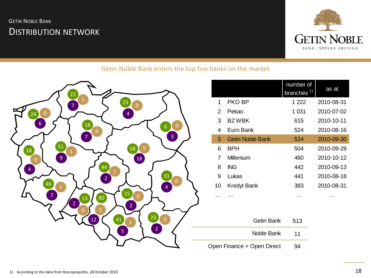# DISTRIBUTION NETWORK **GETIN NOBLE BANK**



#### Getin Noble Bank enters the top five banks on the market



|               |                         | number of<br>branches <sup>1)</sup> | as at      |
|---------------|-------------------------|-------------------------------------|------------|
| 1             | <b>PKO BP</b>           | 1 222                               | 2010-08-31 |
| $\mathcal{P}$ | Pekao                   | 1 031                               | 2010-07-02 |
| 3             | <b>BZWBK</b>            | 615                                 | 2010-10-11 |
| 4             | Euro Bank               | 524                                 | 2010-08-16 |
| 5             | <b>Getin Noble Bank</b> | 524                                 | 2010-09-30 |
| 6             | BPH                     | 504                                 | 2010-09-29 |
| 7             | Millenium               | 460                                 | 2010-10-12 |
| 8             | <b>ING</b>              | 442                                 | 2010-09-13 |
| 9             | Lukas                   | 441                                 | 2010-08-18 |
| 10            | <b>Kredyt Bank</b>      | 383                                 | 2010-08-31 |
|               |                         | .                                   | .          |

| Getin Bank                 | 513 |
|----------------------------|-----|
| Noble Bank                 | 11  |
| Open Finance + Open Direct | 94  |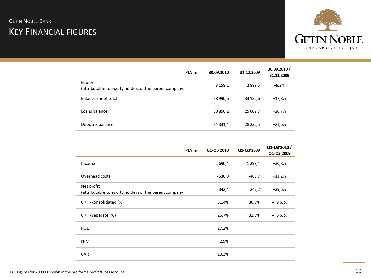# KEY FINANCIAL FIGURES **GETIN NOBLE BANK**



|                                                                  | PLN <sub>m</sub> | 30.09.2010 | 31.12.2009 | 30.09.2010 /<br>31.12.2009 |
|------------------------------------------------------------------|------------------|------------|------------|----------------------------|
| Equity<br>(attributable to equity holders of the parent company) |                  | 3 1 58, 1  | 2889,5     | $+9,3%$                    |
| Balance sheet total                                              |                  | 38 990,6   | 33 126,6   | $+17,8%$                   |
| Loans balance                                                    |                  | 30 856,2   | 25 602,7   | $+20,7%$                   |
| Deposits balance                                                 |                  | 34 331,4   | 28 236,5   | $+21,6%$                   |

|                                                                      | PLN <sub>m</sub> | Q1-Q3'2010 | Q1-Q3'2009 | Q1-Q3'2010/<br>Q1-Q3'2009 |
|----------------------------------------------------------------------|------------------|------------|------------|---------------------------|
| Income                                                               |                  | 1690,4     | 1 2 9 2, 4 | $+30,8%$                  |
| Overhead costs                                                       |                  | $-530,8$   | $-468,7$   | $+13,2%$                  |
| Net profit<br>(attributable to equity holders of the parent company) |                  | 342,4      | 245,2      | +39,6%                    |
| $C/I$ - consolidated $(\%)$                                          |                  | 31,4%      | 36,3%      | $-4,9$ p.p.               |
| $C/I$ - separate $(\%)$                                              |                  | 26,7%      | 31,3%      | $-4,6 p.p.$               |
| <b>ROE</b>                                                           |                  | 17,2%      |            |                           |
| <b>NIM</b>                                                           |                  | 2,9%       |            |                           |
| CAR                                                                  |                  | 10,3%      |            |                           |